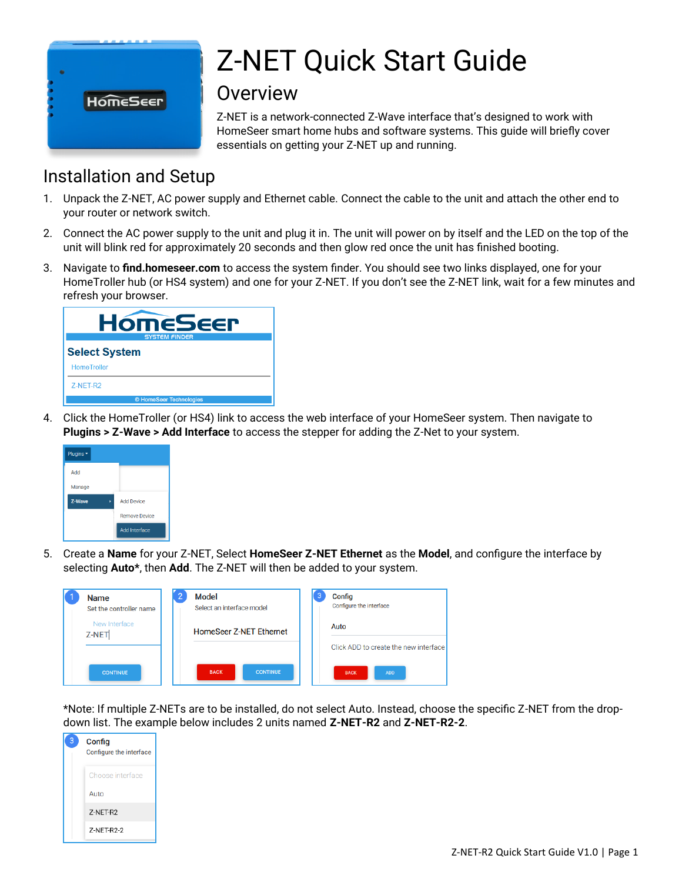

# Z-NET Quick Start Guide

## Overview

Z-NET is a network-connected Z-Wave interface that's designed to work with HomeSeer smart home hubs and software systems. This guide will briefly cover essentials on getting your Z-NET up and running.

# Installation and Setup

- 1. Unpack the Z-NET, AC power supply and Ethernet cable. Connect the cable to the unit and attach the other end to your router or network switch.
- 2. Connect the AC power supply to the unit and plug it in. The unit will power on by itself and the LED on the top of the unit will blink red for approximately 20 seconds and then glow red once the unit has finished booting.
- 3. Navigate to **find.homeseer.com** to access the system finder. You should see two links displayed, one for your HomeTroller hub (or HS4 system) and one for your Z-NET. If you don't see the Z-NET link, wait for a few minutes and refresh your browser.

| <b>HomeSeer</b><br><b>SYSTEM FINDER</b> |  |  |  |  |
|-----------------------------------------|--|--|--|--|
| <b>Select System</b>                    |  |  |  |  |
| <b>HomeTroller</b>                      |  |  |  |  |
| Z-NET-R2                                |  |  |  |  |
| © HomeSeer Technologies                 |  |  |  |  |

4. Click the HomeTroller (or HS4) link to access the web interface of your HomeSeer system. Then navigate to **Plugins > Z-Wave > Add Interface** to access the stepper for adding the Z-Net to your system.



5. Create a **Name** for your Z-NET, Select **HomeSeer Z-NET Ethernet** as the **Model**, and configure the interface by selecting **Auto\***, then **Add**. The Z-NET will then be added to your system.

| <b>Name</b><br>Set the controller name | Model<br>Select an interface model | 3 | Config<br>Configure the interface     |
|----------------------------------------|------------------------------------|---|---------------------------------------|
| New Interface<br>Z-NET                 | HomeSeer Z-NET Ethernet            |   | Auto                                  |
|                                        |                                    |   | Click ADD to create the new interface |
| <b>CONTINUE</b>                        | <b>BACK</b><br><b>CONTINUE</b>     |   | <b>ADD</b><br><b>BACK</b>             |

\*Note: If multiple Z-NETs are to be installed, do not select Auto. Instead, choose the specific Z-NET from the dropdown list. The example below includes 2 units named **Z-NET-R2** and **Z-NET-R2-2**.